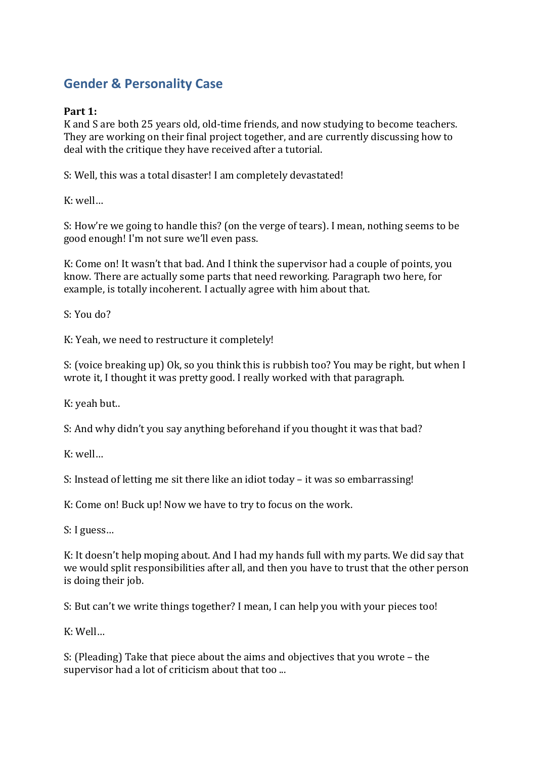# **Gender & Personality Case**

## **Part 1:**

K and S are both 25 years old, old-time friends, and now studying to become teachers. They are working on their final project together, and are currently discussing how to deal with the critique they have received after a tutorial.

S: Well, this was a total disaster! I am completely devastated!

K: well…

S: How're we going to handle this? (on the verge of tears). I mean, nothing seems to be good enough! I'm not sure we'll even pass.

K: Come on! It wasn't that bad. And I think the supervisor had a couple of points, you know. There are actually some parts that need reworking. Paragraph two here, for example, is totally incoherent. I actually agree with him about that.

S: You do?

K: Yeah, we need to restructure it completely!

S: (voice breaking up) Ok, so you think this is rubbish too? You may be right, but when I wrote it, I thought it was pretty good. I really worked with that paragraph.

K: yeah but..

S: And why didn't you say anything beforehand if you thought it was that bad?

K: well…

S: Instead of letting me sit there like an idiot today – it was so embarrassing!

K: Come on! Buck up! Now we have to try to focus on the work.

S: I guess…

K: It doesn't help moping about. And I had my hands full with my parts. We did say that we would split responsibilities after all, and then you have to trust that the other person is doing their job.

S: But can't we write things together? I mean, I can help you with your pieces too!

K: Well…

S: (Pleading) Take that piece about the aims and objectives that you wrote – the supervisor had a lot of criticism about that too ...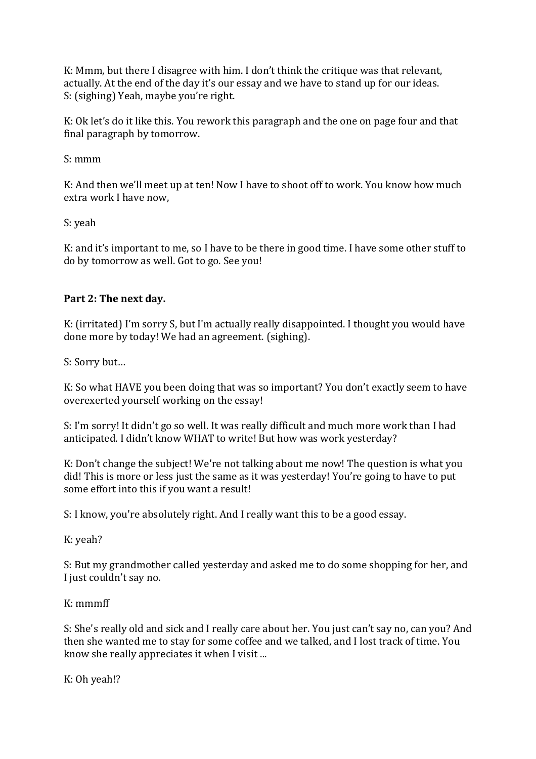K: Mmm, but there I disagree with him. I don't think the critique was that relevant, actually. At the end of the day it's our essay and we have to stand up for our ideas. S: (sighing) Yeah, maybe you're right.

K: Ok let's do it like this. You rework this paragraph and the one on page four and that final paragraph by tomorrow.

S: mmm

K: And then we'll meet up at ten! Now I have to shoot off to work. You know how much extra work I have now,

S: yeah

K: and it's important to me, so I have to be there in good time. I have some other stuff to do by tomorrow as well. Got to go. See you!

### **Part 2: The next day.**

K: (irritated) I'm sorry S, but I'm actually really disappointed. I thought you would have done more by today! We had an agreement. (sighing).

S: Sorry but…

K: So what HAVE you been doing that was so important? You don't exactly seem to have overexerted yourself working on the essay!

S: I'm sorry! It didn't go so well. It was really difficult and much more work than I had anticipated. I didn't know WHAT to write! But how was work yesterday?

K: Don't change the subject! We're not talking about me now! The question is what you did! This is more or less just the same as it was yesterday! You're going to have to put some effort into this if you want a result!

S: I know, you're absolutely right. And I really want this to be a good essay.

K: yeah?

S: But my grandmother called yesterday and asked me to do some shopping for her, and I just couldn't say no.

K: mmmff

S: She's really old and sick and I really care about her. You just can't say no, can you? And then she wanted me to stay for some coffee and we talked, and I lost track of time. You know she really appreciates it when I visit ...

K: Oh yeah!?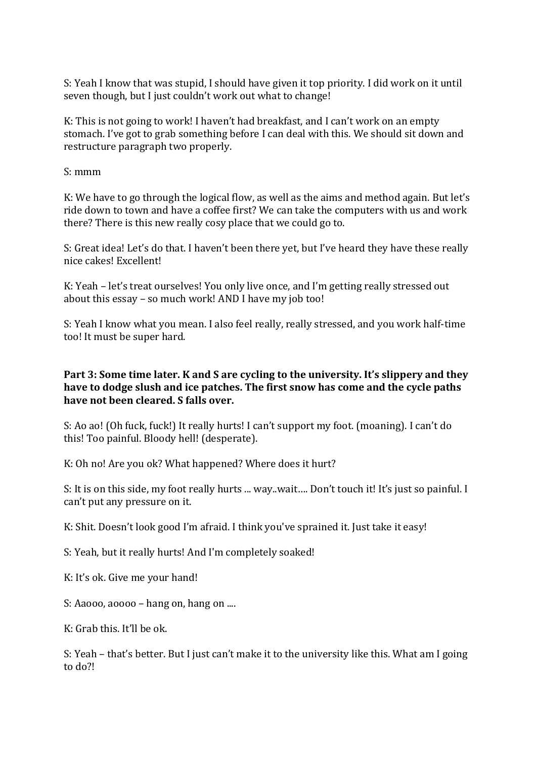S: Yeah I know that was stupid, I should have given it top priority. I did work on it until seven though, but I just couldn't work out what to change!

K: This is not going to work! I haven't had breakfast, and I can't work on an empty stomach. I've got to grab something before I can deal with this. We should sit down and restructure paragraph two properly.

S: mmm

K: We have to go through the logical flow, as well as the aims and method again. But let's ride down to town and have a coffee first? We can take the computers with us and work there? There is this new really cosy place that we could go to.

S: Great idea! Let's do that. I haven't been there yet, but I've heard they have these really nice cakes! Excellent!

K: Yeah – let's treat ourselves! You only live once, and I'm getting really stressed out about this essay – so much work! AND I have my job too!

S: Yeah I know what you mean. I also feel really, really stressed, and you work half-time too! It must be super hard.

#### **Part 3: Some time later. K and S are cycling to the university. It's slippery and they have to dodge slush and ice patches. The first snow has come and the cycle paths have not been cleared. S falls over.**

S: Ao ao! (Oh fuck, fuck!) It really hurts! I can't support my foot. (moaning). I can't do this! Too painful. Bloody hell! (desperate).

K: Oh no! Are you ok? What happened? Where does it hurt?

S: It is on this side, my foot really hurts ... way..wait…. Don't touch it! It's just so painful. I can't put any pressure on it.

K: Shit. Doesn't look good I'm afraid. I think you've sprained it. Just take it easy!

S: Yeah, but it really hurts! And I'm completely soaked!

K: It's ok. Give me your hand!

S: Aaooo, aoooo – hang on, hang on ....

 $K:$  Grab this. It'll be ok.

S: Yeah – that's better. But I just can't make it to the university like this. What am I going to do?!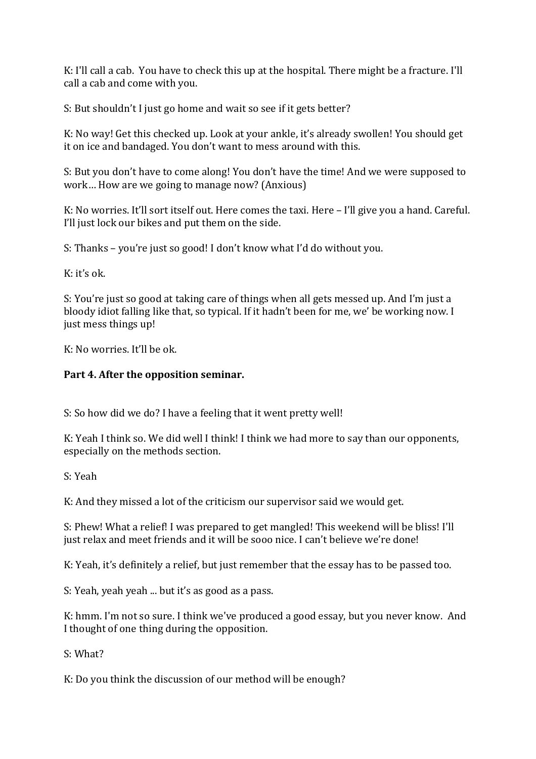K: I'll call a cab. You have to check this up at the hospital. There might be a fracture. I'll call a cab and come with you.

S: But shouldn't I just go home and wait so see if it gets better?

K: No way! Get this checked up. Look at your ankle, it's already swollen! You should get it on ice and bandaged. You don't want to mess around with this.

S: But you don't have to come along! You don't have the time! And we were supposed to work… How are we going to manage now? (Anxious)

K: No worries. It'll sort itself out. Here comes the taxi. Here – I'll give you a hand. Careful. I'll just lock our bikes and put them on the side.

S: Thanks – you're just so good! I don't know what I'd do without you.

K: it's ok.

S: You're just so good at taking care of things when all gets messed up. And I'm just a bloody idiot falling like that, so typical. If it hadn't been for me, we' be working now. I just mess things up!

K: No worries. It'll be ok.

### **Part 4. After the opposition seminar.**

S: So how did we do? I have a feeling that it went pretty well!

K: Yeah I think so. We did well I think! I think we had more to say than our opponents, especially on the methods section.

S: Yeah

K: And they missed a lot of the criticism our supervisor said we would get.

S: Phew! What a relief! I was prepared to get mangled! This weekend will be bliss! I'll just relax and meet friends and it will be sooo nice. I can't believe we're done!

K: Yeah, it's definitely a relief, but just remember that the essay has to be passed too.

S: Yeah, yeah yeah ... but it's as good as a pass.

K: hmm. I'm not so sure. I think we've produced a good essay, but you never know. And I thought of one thing during the opposition.

S: What?

K: Do you think the discussion of our method will be enough?